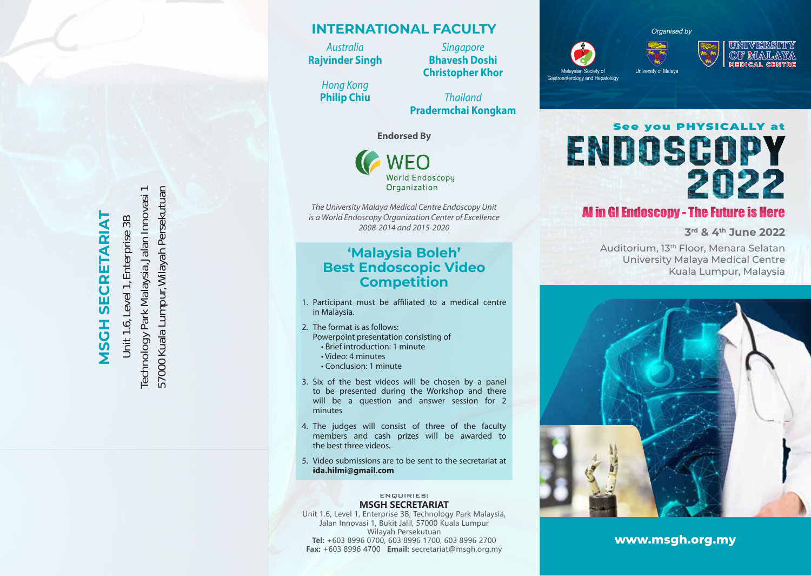**MSGH SECRETARIAT MSCH SECRETARIAT** 

Technology Park Malaysia, Jalan Innovasi 1 57000 Kuala Lumpur, Wilayah Persekutuan 57000 Kuala Lumpur, Wilayah Persekutuan Technology Park Malaysia, Jalan Innovasi 1 Unit 1.6, Level 1, Enterprise 3B Unit 1.6, Level 1, Enterprise 3B

## **INTERNATIONAL FACULTY**

*Australia* **Rajvinder Singh**

> *Hong Kong* **Philip Chiu**

**Christopher Khor** *Thailand*

*Singapore* **Bhavesh Doshi**

**Pradermchai Kongkam**

**Endorsed By**

**NEO World Endoscopy** Organization

*The University Malaya Medical Centre Endoscopy Unit is a World Endoscopy Organization Center of Excellence 2008-2014 and 2015-2020*

### **'Malaysia Boleh' Best Endoscopic Video Competition**

- 1. Participant must be affiliated to a medical centre in Malaysia.
- 2. The format is as follows: Powerpoint presentation consisting of • Brief introduction: 1 minute
	- Video: 4 minutes
	- Conclusion: 1 minute
- 3. Six of the best videos will be chosen by a panel to be presented during the Workshop and there will be a question and answer session for 2 minutes
- 4. The judges will consist of three of the faculty members and cash prizes will be awarded to the best three videos.
- 5. Video submissions are to be sent to the secretariat at **ida.hilmi@gmail.com**

#### ENQUIRIES: **MSGH SECRETARIAT**

Unit 1.6, Level 1, Enterprise 3B, Technology Park Malaysia, Jalan Innovasi 1, Bukit Jalil, 57000 Kuala Lumpur Wilayah Persekutuan **Tel:** +603 8996 0700, 603 8996 1700, 603 8996 2700 **Fax:** +603 8996 4700 **Email:** secretariat@msgh.org.my

*Organised by*

University of Malaya

Malaysian Society of Gastroenterology and Hepatology



ENDOSCOPY 2022

# **Al in GI Endoscopy - The Future is Here**

**3rd & 4th June 2022**

Auditorium, 13th Floor, Menara Selatan University Malaya Medical Centre Kuala Lumpur, Malaysia



**www.msgh.org.my**